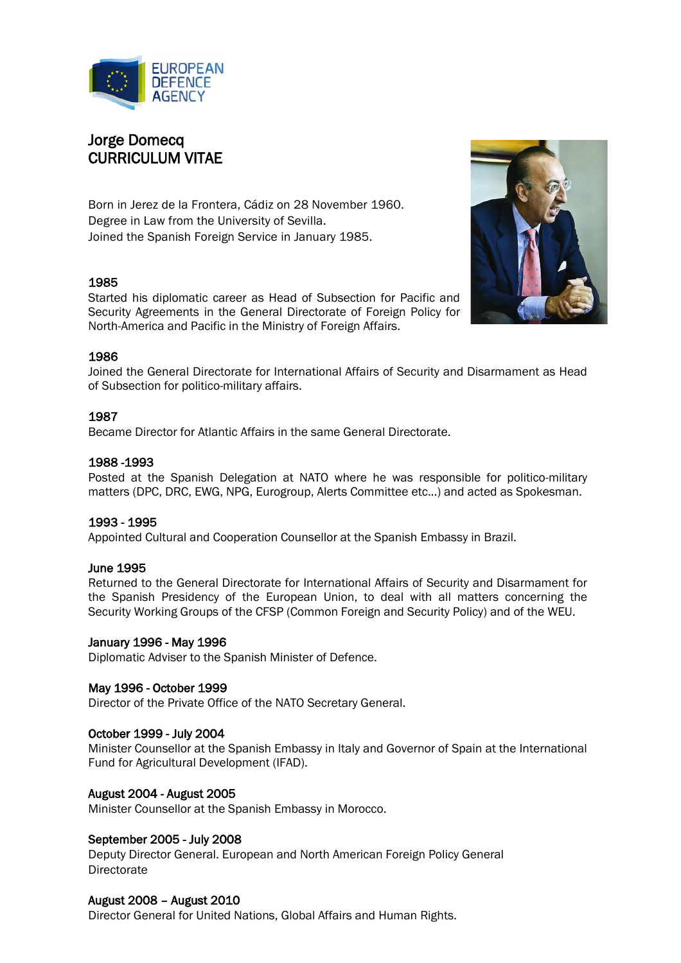

# Jorge Domecq CURRICULUM VITAE

Born in Jerez de la Frontera, Cádiz on 28 November 1960. Degree in Law from the University of Sevilla. Joined the Spanish Foreign Service in January 1985.

# 1985

Started his diplomatic career as Head of Subsection for Pacific and Security Agreements in the General Directorate of Foreign Policy for North-America and Pacific in the Ministry of Foreign Affairs.



## 1986

Joined the General Directorate for International Affairs of Security and Disarmament as Head of Subsection for politico-military affairs.

## 1987

Became Director for Atlantic Affairs in the same General Directorate.

## 1988 -1993

Posted at the Spanish Delegation at NATO where he was responsible for politico-military matters (DPC, DRC, EWG, NPG, Eurogroup, Alerts Committee etc...) and acted as Spokesman.

## 1993 - 1995

Appointed Cultural and Cooperation Counsellor at the Spanish Embassy in Brazil.

## June 1995

Returned to the General Directorate for International Affairs of Security and Disarmament for the Spanish Presidency of the European Union, to deal with all matters concerning the Security Working Groups of the CFSP (Common Foreign and Security Policy) and of the WEU.

## January 1996 - May 1996

Diplomatic Adviser to the Spanish Minister of Defence.

## May 1996 - October 1999

Director of the Private Office of the NATO Secretary General.

## October 1999 - July 2004

Minister Counsellor at the Spanish Embassy in Italy and Governor of Spain at the International Fund for Agricultural Development (IFAD).

## August 2004 - August 2005

Minister Counsellor at the Spanish Embassy in Morocco.

## September 2005 - July 2008

Deputy Director General. European and North American Foreign Policy General **Directorate** 

## August 2008 – August 2010

Director General for United Nations, Global Affairs and Human Rights.